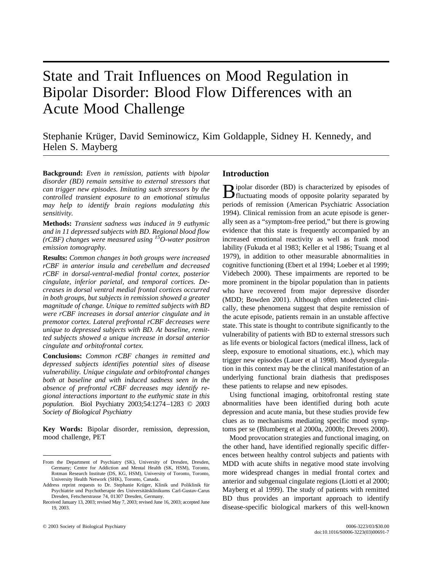# State and Trait Influences on Mood Regulation in Bipolar Disorder: Blood Flow Differences with an Acute Mood Challenge

Stephanie Krüger, David Seminowicz, Kim Goldapple, Sidney H. Kennedy, and Helen S. Mayberg

**Background:** *Even in remission, patients with bipolar disorder (BD) remain sensitive to external stressors that can trigger new episodes. Imitating such stressors by the controlled transient exposure to an emotional stimulus may help to identify brain regions modulating this sensitivity.*

**Methods:** *Transient sadness was induced in 9 euthymic and in 11 depressed subjects with BD. Regional blood flow (rCBF) changes were measured using 15O-water positron emission tomography.*

**Results:** *Common changes in both groups were increased rCBF in anterior insula and cerebellum and decreased rCBF in dorsal-ventral-medial frontal cortex, posterior cingulate, inferior parietal, and temporal cortices. Decreases in dorsal ventral medial frontal cortices occurred in both groups, but subjects in remission showed a greater magnitude of change. Unique to remitted subjects with BD were rCBF increases in dorsal anterior cingulate and in premotor cortex. Lateral prefrontal rCBF decreases were unique to depressed subjects with BD. At baseline, remitted subjects showed a unique increase in dorsal anterior cingulate and orbitofrontal cortex.*

**Conclusions:** *Common rCBF changes in remitted and depressed subjects identifies potential sites of disease vulnerability. Unique cingulate and orbitofrontal changes both at baseline and with induced sadness seen in the absence of prefrontal rCBF decreases may identify regional interactions important to the euthymic state in this population.* Biol Psychiatry 2003;54:1274–1283 © *2003 Society of Biological Psychiatry*

**Key Words:** Bipolar disorder, remission, depression, mood challenge, PET

## **Introduction**

Bipolar disorder (BD) is characterized by episodes of fluctuating moods of opposite polarity separated by periods of remission [\(American Psychiatric Association](#page-7-0) [1994\).](#page-7-0) Clinical remission from an acute episode is generally seen as a "symptom-free period," but there is growing evidence that this state is frequently accompanied by an increased emotional reactivity as well as frank mood lability [\(Fukuda et al 1983; Keller et al 1986; Tsuang et al](#page-8-0) [1979\),](#page-8-0) in addition to other measurable abnormalities in cognitive functioning [\(Ebert et al 1994; Loeber et al 1999;](#page-8-0) [Videbech 2000\)](#page-8-0). These impairments are reported to be more prominent in the bipolar population than in patients who have recovered from major depressive disorder (MDD; [Bowden 2001\).](#page-8-0) Although often undetected clinically, these phenomena suggest that despite remission of the acute episode, patients remain in an unstable affective state. This state is thought to contribute significantly to the vulnerability of patients with BD to external stressors such as life events or biological factors (medical illness, lack of sleep, exposure to emotional situations, etc.), which may trigger new episodes [\(Lauer et al 1998\).](#page-9-0) Mood dysregulation in this context may be the clinical manifestation of an underlying functional brain diathesis that predisposes these patients to relapse and new episodes.

Using functional imaging, orbitofrontal resting state abnormalities have been identified during both acute depression and acute mania, but these studies provide few clues as to mechanisms mediating specific mood symptoms per se [\(Blumberg et al 2000a, 2000b; Drevets 2000\).](#page-8-0)

Mood provocation strategies and functional imaging, on the other hand, have identified regionally specific differences between healthy control subjects and patients with MDD with acute shifts in negative mood state involving more widespread changes in medial frontal cortex and anterior and subgenual cingulate regions [\(Liotti et al 2000;](#page-9-0) [Mayberg et al 1999\).](#page-9-0) The study of patients with remitted BD thus provides an important approach to identify disease-specific biological markers of this well-known

From the Department of Psychiatry (SK), University of Dresden, Dresden, Germany; Centre for Addiction and Mental Health (SK, HSM), Toronto, Rotman Research Institute (DS, KG, HSM), University of Toronto, Toronto, University Health Network (SHK), Toronto, Canada.

Address reprint requests to Dr. Stephanie Krüger, Klinik und Poliklinik für Psychiatrie und Psychotherapie des Universitätsklinikums Carl-Gustav-Carus Dresden, Fetscherstrasse 74, 01307 Dresden, Germany.

Received January 13, 2003; revised May 7, 2003; revised June 16, 2003; accepted June 19, 2003.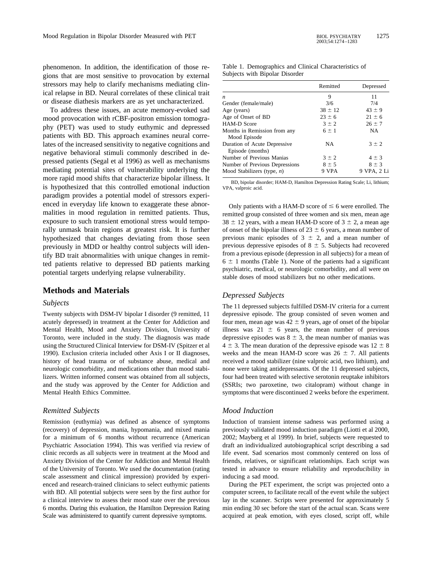phenomenon. In addition, the identification of those regions that are most sensitive to provocation by external stressors may help to clarify mechanisms mediating clinical relapse in BD. Neural correlates of these clinical trait or disease diathesis markers are as yet uncharacterized.

To address these issues, an acute memory-evoked sad mood provocation with rCBF-positron emission tomography (PET) was used to study euthymic and depressed patients with BD. This approach examines neural correlates of the increased sensitivity to negative cognitions and negative behavioral stimuli commonly described in depressed patients [\(Segal et al 1996\)](#page-9-0) as well as mechanisms mediating potential sites of vulnerability underlying the more rapid mood shifts that characterize bipolar illness. It is hypothesized that this controlled emotional induction paradigm provides a potential model of stressors experienced in everyday life known to exaggerate these abnormalities in mood regulation in remitted patients. Thus, exposure to such transient emotional stress would temporally unmask brain regions at greatest risk. It is further hypothesized that changes deviating from those seen previously in MDD or healthy control subjects will identify BD trait abnormalities with unique changes in remitted patients relative to depressed BD patients marking potential targets underlying relapse vulnerability.

# **Methods and Materials**

#### *Subjects*

Twenty subjects with DSM-IV bipolar I disorder (9 remitted, 11 acutely depressed) in treatment at the Center for Addiction and Mental Health, Mood and Anxiety Division, University of Toronto, were included in the study. The diagnosis was made using the Structured Clinical Interview for DSM-IV [\(Spitzer et al](#page-9-0) [1990\).](#page-9-0) Exclusion criteria included other Axis I or II diagnoses, history of head trauma or of substance abuse, medical and neurologic comorbidity, and medications other than mood stabilizers. Written informed consent was obtained from all subjects, and the study was approved by the Center for Addiction and Mental Health Ethics Committee.

#### *Remitted Subjects*

Remission (euthymia) was defined as absence of symptoms (recovery) of depression, mania, hypomania, and mixed mania for a minimum of 6 months without recurrence [\(American](#page-7-0) [Psychiatric Association 1994\).](#page-7-0) This was verified via review of clinic records as all subjects were in treatment at the Mood and Anxiety Division of the Center for Addiction and Mental Health of the University of Toronto. We used the documentation (rating scale assessment and clinical impression) provided by experienced and research-trained clinicians to select euthymic patients with BD. All potential subjects were seen by the first author for a clinical interview to assess their mood state over the previous 6 months. During this evaluation, the Hamilton Depression Rating Scale was administered to quantify current depressive symptoms.

Table 1. Demographics and Clinical Characteristics of Subjects with Bipolar Disorder

| Remitted    | Depressed   |
|-------------|-------------|
| 9           | 11          |
| 3/6         | 7/4         |
| $38 \pm 12$ | $43 \pm 9$  |
| $23 \pm 6$  | $21 \pm 6$  |
| $3 \pm 2$   | $26 \pm 7$  |
| $6 \pm 1$   | NA          |
|             |             |
|             | $3 \pm 2$   |
| $3 \pm 2$   | $4 \pm 3$   |
| $8 \pm 5$   | $8 \pm 3$   |
| 9 VPA       | 9 VPA, 2 Li |
|             | NA          |

BD, bipolar disorder; HAM-D, Hamilton Depression Rating Scale; Li, lithium; VPA, valproic acid.

Only patients with a HAM-D score of  $\leq 6$  were enrolled. The remitted group consisted of three women and six men, mean age  $38 \pm 12$  years, with a mean HAM-D score of  $3 \pm 2$ , a mean age of onset of the bipolar illness of  $23 \pm 6$  years, a mean number of previous manic episodes of  $3 \pm 2$ , and a mean number of previous depressive episodes of  $8 \pm 5$ . Subjects had recovered from a previous episode (depression in all subjects) for a mean of  $6 \pm 1$  months (Table 1). None of the patients had a significant psychiatric, medical, or neurologic comorbidity, and all were on stable doses of mood stabilizers but no other medications.

#### *Depressed Subjects*

The 11 depressed subjects fulfilled DSM-IV criteria for a current depressive episode. The group consisted of seven women and four men, mean age was  $42 \pm 9$  years, age of onset of the bipolar illness was  $21 \pm 6$  years, the mean number of previous depressive episodes was  $8 \pm 3$ , the mean number of manias was  $4 \pm 3$ . The mean duration of the depressive episode was  $12 \pm 8$ weeks and the mean HAM-D score was  $26 \pm 7$ . All patients received a mood stabilizer (nine valproic acid, two lithium), and none were taking antidepressants. Of the 11 depressed subjects, four had been treated with selective serotonin reuptake inhibitors (SSRIs; two paroxetine, two citalopram) without change in symptoms that were discontinued 2 weeks before the experiment.

# *Mood Induction*

Induction of transient intense sadness was performed using a previously validated mood induction paradigm [\(Liotti et al 2000,](#page-9-0) [2002; Mayberg et al 1999\).](#page-9-0) In brief, subjects were requested to draft an individualized autobiographical script describing a sad life event. Sad scenarios most commonly centered on loss of friends, relatives, or significant relationships. Each script was tested in advance to ensure reliability and reproducibility in inducing a sad mood.

During the PET experiment, the script was projected onto a computer screen, to facilitate recall of the event while the subject lay in the scanner. Scripts were presented for approximately 5 min ending 30 sec before the start of the actual scan. Scans were acquired at peak emotion, with eyes closed, script off, while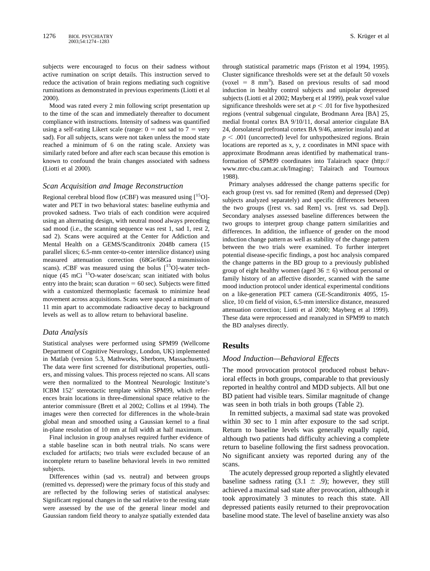subjects were encouraged to focus on their sadness without active rumination on script details. This instruction served to reduce the activation of brain regions mediating such cognitive ruminations as demonstrated in previous experiments [\(Liotti et al](#page-9-0) [2000\).](#page-9-0)

Mood was rated every 2 min following script presentation up to the time of the scan and immediately thereafter to document compliance with instructions. Intensity of sadness was quantified using a self-rating Likert scale (range:  $0 =$  not sad to  $7 =$  very sad). For all subjects, scans were not taken unless the mood state reached a minimum of 6 on the rating scale. Anxiety was similarly rated before and after each scan because this emotion is known to confound the brain changes associated with sadness [\(Liotti et al 2000\).](#page-9-0)

## *Scan Acquisition and Image Reconstruction*

Regional cerebral blood flow (rCBF) was measured using  $[15O]$ water and PET in two behavioral states: baseline euthymia and provoked sadness. Two trials of each condition were acquired using an alternating design, with neutral mood always preceding sad mood (i.e., the scanning sequence was rest 1, sad 1, rest 2, sad 2). Scans were acquired at the Center for Addiction and Mental Health on a GEMS/Scanditronix 2048b camera (15 parallel slices; 6.5-mm center-to-center interslice distance) using measured attenuation correction (68Ge/68Ga transmission scans). rCBF was measured using the bolus  $[$ <sup>15</sup>O]-water technique (45 mCi  $15$ O-water dose/scan; scan initiated with bolus entry into the brain; scan duration  $= 60$  sec). Subjects were fitted with a customized thermoplastic facemask to minimize head movement across acquisitions. Scans were spaced a minimum of 11 min apart to accommodate radioactive decay to background levels as well as to allow return to behavioral baseline.

## *Data Analysis*

Statistical analyses were performed using SPM99 (Wellcome Department of Cognitive Neurology, London, UK) implemented in Matlab (version 5.3, Mathworks, Sherborn, Massachusetts). The data were first screened for distributional properties, outliers, and missing values. This process rejected no scans. All scans were then normalized to the Montreal Neurologic Institute's ICBM 152' stereotactic template within SPM99, which references brain locations in three-dimensional space relative to the anterior commissure [\(Brett et al 2002; Collins et al 1994\).](#page-8-0) The images were then corrected for differences in the whole-brain global mean and smoothed using a Gaussian kernel to a final in-plane resolution of 10 mm at full width at half maximum.

Final inclusion in group analyses required further evidence of a stable baseline scan in both neutral trials. No scans were excluded for artifacts; two trials were excluded because of an incomplete return to baseline behavioral levels in two remitted subjects.

Differences within (sad vs. neutral) and between groups (remitted vs. depressed) were the primary focus of this study and are reflected by the following series of statistical analyses: Significant regional changes in the sad relative to the resting state were assessed by the use of the general linear model and Gaussian random field theory to analyze spatially extended data through statistical parametric maps [\(Friston et al 1994, 1995\).](#page-8-0) Cluster significance thresholds were set at the default 50 voxels (voxel  $= 8$  mm<sup>3</sup>). Based on previous results of sad mood induction in healthy control subjects and unipolar depressed subjects [\(Liotti et al 2002; Mayberg et al 1999\),](#page-9-0) peak voxel value significance thresholds were set at  $p < .01$  for five hypothesized regions (ventral subgenual cingulate, Brodmann Area [BA] 25, medial frontal cortex BA 9/10/11, dorsal anterior cingulate BA 24, dorsolateral prefrontal cortex BA 9/46, anterior insula) and at  $p < .001$  (uncorrected) level for unhypothesized regions. Brain locations are reported as x, y, z coordinates in MNI space with approximate Brodmann areas identified by mathematical transformation of SPM99 coordinates into Talairach space (http:// www.mrc-cbu.cam.ac.uk/Imaging/; [Talairach and Tournoux](#page-9-0) [1988\).](#page-9-0)

Primary analyses addressed the change patterns specific for each group (rest vs. sad for remitted (Rem) and depressed (Dep) subjects analyzed separately) and specific differences between the two groups ([rest vs. sad Rem] vs. [rest vs. sad Dep]). Secondary analyses assessed baseline differences between the two groups to interpret group change pattern similarities and differences. In addition, the influence of gender on the mood induction change pattern as well as stability of the change pattern between the two trials were examined. To further interpret potential disease-specific findings, a post hoc analysis compared the change patterns in the BD group to a previously published group of eight healthy women (aged  $36 \pm 6$ ) without personal or family history of an affective disorder, scanned with the same mood induction protocol under identical experimental conditions on a like-generation PET camera (GE-Scanditronix 4095, 15 slice, 10 cm field of vision, 6.5-mm interslice distance, measured attenuation correction; Liotti et al 2000; [Mayberg et al 1999\).](#page-9-0) These data were reprocessed and reanalyzed in SPM99 to match the BD analyses directly.

# **Results**

## *Mood Induction—Behavioral Effects*

The mood provocation protocol produced robust behavioral effects in both groups, comparable to that previously reported in healthy control and MDD subjects. All but one BD patient had visible tears. Similar magnitude of change was seen in both trials in both groups [\(Table 2\)](#page-3-0).

In remitted subjects, a maximal sad state was provoked within 30 sec to 1 min after exposure to the sad script. Return to baseline levels was generally equally rapid, although two patients had difficulty achieving a complete return to baseline following the first sadness provocation. No significant anxiety was reported during any of the scans.

The acutely depressed group reported a slightly elevated baseline sadness rating  $(3.1 \pm .9)$ ; however, they still achieved a maximal sad state after provocation, although it took approximately 3 minutes to reach this state. All depressed patients easily returned to their preprovocation baseline mood state. The level of baseline anxiety was also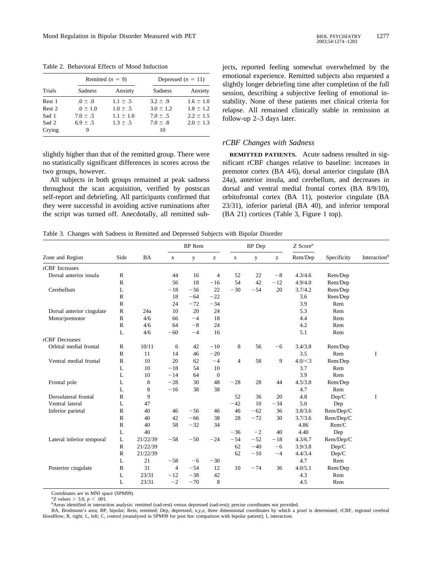|        |              | Remitted $(n = 9)$ | Depressed $(n = 11)$ |               |  |  |
|--------|--------------|--------------------|----------------------|---------------|--|--|
| Trials | Sadness      | Anxiety            | Sadness              | Anxiety       |  |  |
| Rest 1 | $.0 \pm .0$  | $1.1 \pm .5$       | $3.2 \pm .9$         | $1.6 \pm 1.0$ |  |  |
| Rest 2 | $.0 \pm 1.0$ | $1.0 \pm .5$       | $3.0 \pm 1.2$        | $1.8 \pm 1.2$ |  |  |
| Sad 1  | $7.0 \pm .5$ | $1.1 \pm 1.0$      | $7.0 \pm .5$         | $2.2 \pm 1.5$ |  |  |
| Sad 2  | $6.9 \pm .5$ | $1.3 \pm .5$       | $7.0 \pm .8$         | $2.0 \pm 1.3$ |  |  |
| Crying | 9            |                    | 10                   |               |  |  |

<span id="page-3-0"></span>Table 2. Behavioral Effects of Mood Induction

slightly higher than that of the remitted group. There were no statistically significant differences in scores across the two groups, however.

All subjects in both groups remained at peak sadness throughout the scan acquisition, verified by postscan self-report and debriefing. All participants confirmed that they were successful in avoiding active ruminations after the script was turned off. Anecdotally, all remitted subjects, reported feeling somewhat overwhelmed by the emotional experience. Remitted subjects also requested a slightly longer debriefing time after completion of the full session, describing a subjective feeling of emotional instability. None of these patients met clinical criteria for relapse. All remained clinically stable in remission at follow-up 2–3 days later.

#### *rCBF Changes with Sadness*

**REMITTED PATIENTS.** Acute sadness resulted in significant rCBF changes relative to baseline: increases in premotor cortex (BA 4/6), dorsal anterior cingulate (BA 24a), anterior insula, and cerebellum, and decreases in dorsal and ventral medial frontal cortex (BA 8/9/10), orbitofrontal cortex (BA 11), posterior cingulate (BA 23/31), inferior parietal (BA 40), and inferior temporal (BA 21) cortices (Table 3, [Figure 1](#page-4-0) top).

Table 3. Changes with Sadness in Remitted and Depressed Subjects with Bipolar Disorder

| Zone and Region           |              | Side<br>BA | <b>BP</b> Rem  |       | BP Dep         |       |       | $Z$ Score <sup><math>a</math></sup>                   |           |             |                          |
|---------------------------|--------------|------------|----------------|-------|----------------|-------|-------|-------------------------------------------------------|-----------|-------------|--------------------------|
|                           |              |            | X              | y     | z              | X     | y     | $\mathbf{Z}% ^{T}=\mathbf{Z}^{T}\times\mathbf{Z}^{T}$ | Rem/Dep   | Specificity | Interaction <sup>b</sup> |
| rCBF Increases            |              |            |                |       |                |       |       |                                                       |           |             |                          |
| Dorsal anterior insula    | R            |            | 44             | 16    | $\overline{4}$ | 52    | 22    | $-8$                                                  | 4.3/4.6   | Rem/Dep     |                          |
|                           | $\mathbb{R}$ |            | 56             | 18    | $-16$          | 54    | 42    | $-12$                                                 | 4.9/4.0   | Rem/Dep     |                          |
| Cerebellum                | L            |            | $-18$          | $-56$ | 22             | $-30$ | $-54$ | 20                                                    | 3.7/4.2   | Rem/Dep     |                          |
|                           | $\mathbb{R}$ |            | 18             | $-64$ | $-22$          |       |       |                                                       | 3.6       | Rem/Dep     |                          |
|                           | $\mathbb{R}$ |            | 24             | $-72$ | $-34$          |       |       |                                                       | 3.9       | Rem         |                          |
| Dorsal anterior cingulate | $\mathbb{R}$ | 24a        | 10             | 20    | 24             |       |       |                                                       | 5.3       | Rem         |                          |
| Motor/premotor            | $\mathbb{R}$ | 4/6        | 66             | $-4$  | 18             |       |       |                                                       | 4.4       | Rem         |                          |
|                           | $\mathbb{R}$ | 4/6        | 64             | $-8$  | 24             |       |       |                                                       | 4.2       | Rem         |                          |
|                           | L            | 4/6        | $-60$          | $-4$  | 16             |       |       |                                                       | 5.1       | Rem         |                          |
| rCBF Decreases            |              |            |                |       |                |       |       |                                                       |           |             |                          |
| Orbital medial frontal    | $\mathbb{R}$ | 10/11      | 6              | 42    | $-10$          | 8     | 56    | $-6$                                                  | 3.4/3.8   | Rem/Dep     |                          |
|                           | $\mathbb{R}$ | 11         | 14             | 46    | $-20$          |       |       |                                                       | 3.5       | Rem         | I                        |
| Ventral medial frontal    | $\mathbb{R}$ | 10         | 20             | 62    | $-4$           | 4     | 58    | 9                                                     | 4.0 / < 3 | Rem/Dep     |                          |
|                           | L            | 10         | $-18$          | 54    | 10             |       |       |                                                       | 3.7       | Rem         |                          |
|                           | L            | 10         | $-14$          | 64    | $\theta$       |       |       |                                                       | 3.9       | Rem         |                          |
| Frontal pole              | L            | 8          | $-28$          | 30    | 48             | $-28$ | 28    | 44                                                    | 4.5/3.8   | Rem/Dep     |                          |
|                           | L            | 8          | $-16$          | 38    | 38             |       |       |                                                       | 4.7       | Rem         |                          |
| Dorsolateral frontal      | $\mathbb{R}$ | 9          |                |       |                | 52    | 36    | 20                                                    | 4.8       | Dep/C       | I                        |
| Ventral lateral           | L            | 47         |                |       |                | $-42$ | 10    | $-34$                                                 | 5.0       | Dep         |                          |
| Inferior parietal         | $\mathbb{R}$ | 40         | 46             | $-56$ | 46             | 46    | $-62$ | 36                                                    | 3.8/3.6   | Rem/Dep/C   |                          |
|                           | $\mathbb{R}$ | 40         | 42             | $-66$ | 38             | 28    | $-72$ | 30                                                    | 3.7/3.6   | Rem/Dep/C   |                          |
|                           | $\mathbb{R}$ | 40         | 58             | $-32$ | 34             |       |       |                                                       | 4.86      | Rem/C       |                          |
|                           | L            | 40         |                |       |                | $-36$ | $-2$  | 40                                                    | 4.40      | Dep         |                          |
| Lateral inferior temporal | L            | 21/22/39   | $-58$          | $-50$ | $-24$          | $-54$ | $-52$ | $-18$                                                 | 4.3/6.7   | Rem/Dep/C   |                          |
|                           | $\mathbb{R}$ | 21/22/39   |                |       |                | 62    | $-40$ | $-6$                                                  | 3.9/3.8   | Dep/C       |                          |
|                           | $\mathbb{R}$ | 21/22/39   |                |       |                | 62    | $-10$ | $-4$                                                  | 4.4/3.4   | Dep/C       |                          |
|                           | L            | 21         | $-58$          | $-6$  | $-30$          |       |       |                                                       | 4.7       | Rem         |                          |
| Posterior cingulate       | R            | 31         | $\overline{4}$ | $-54$ | 12             | 10    | $-74$ | 36                                                    | 4.0/5.1   | Rem/Dep     |                          |
|                           | L            | 23/31      | $-12$          | $-38$ | 42             |       |       |                                                       | 4.3       | Rem         |                          |
|                           | L            | 23/31      | $-2$           | $-70$ | 8              |       |       |                                                       | 4.5       | Rem         |                          |
|                           |              |            |                |       |                |       |       |                                                       |           |             |                          |

Coordinates are in MNI space (SPM99).

 ${}^a\text{Z}$  values  $> 3.0, p < .001.$ <br>*b* Areas identified in interaction

<sup>b</sup>Areas identified in interaction analysis: remitted (sad-rest) versus depressed (sad-rest); precise coordinates not provided.

BA, Brodmann's area; BP, bipolar; Rem, remitted; Dep, depressed; x,y,z, three dimensional coordinates by which a pixel is determined; rCBF, regional cerebral bloodflow; R, right; L, left; C, control (reanalyzed in SPM99 for post hoc comparison with bipolar patient); I, interaction.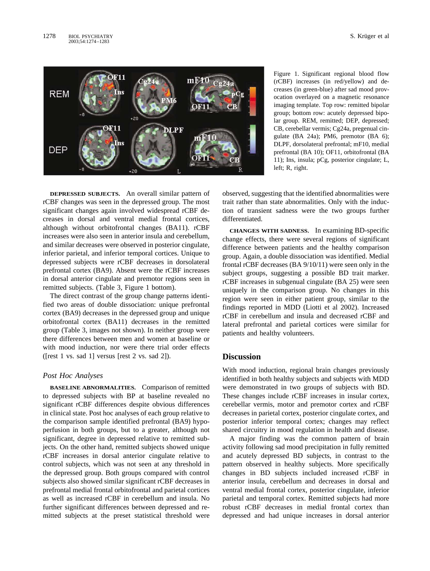<span id="page-4-0"></span>

Figure 1. Significant regional blood flow (rCBF) increases (in red/yellow) and decreases (in green-blue) after sad mood provocation overlayed on a magnetic resonance imaging template. Top row: remitted bipolar group; bottom row: acutely depressed bipolar group. REM, remitted; DEP, depressed; CB, cerebellar vermis; Cg24a, pregenual cingulate (BA 24a); PM6, premotor (BA 6); DLPF, dorsolateral prefrontal; mF10, medial prefrontal (BA 10); OF11, orbitofrontal (BA 11); Ins, insula; pCg, posterior cingulate; L, left; R, right.

**DEPRESSED SUBJECTS.** An overall similar pattern of rCBF changes was seen in the depressed group. The most significant changes again involved widespread rCBF decreases in dorsal and ventral medial frontal cortices, although without orbitofrontal changes (BA11). rCBF increases were also seen in anterior insula and cerebellum, and similar decreases were observed in posterior cingulate, inferior parietal, and inferior temporal cortices. Unique to depressed subjects were rCBF decreases in dorsolateral prefrontal cortex (BA9). Absent were the rCBF increases in dorsal anterior cingulate and premotor regions seen in remitted subjects. [\(Table 3,](#page-3-0) Figure 1 bottom).

The direct contrast of the group change patterns identified two areas of double dissociation: unique prefrontal cortex (BA9) decreases in the depressed group and unique orbitofrontal cortex (BA11) decreases in the remitted group [\(Table 3,](#page-3-0) images not shown). In neither group were there differences between men and women at baseline or with mood induction, nor were there trial order effects ([rest 1 vs. sad 1] versus [rest 2 vs. sad 2]).

# *Post Hoc Analyses*

**BASELINE ABNORMALITIES.** Comparison of remitted to depressed subjects with BP at baseline revealed no significant rCBF differences despite obvious differences in clinical state. Post hoc analyses of each group relative to the comparison sample identified prefrontal (BA9) hypoperfusion in both groups, but to a greater, although not significant, degree in depressed relative to remitted subjects. On the other hand, remitted subjects showed unique rCBF increases in dorsal anterior cingulate relative to control subjects, which was not seen at any threshold in the depressed group. Both groups compared with control subjects also showed similar significant rCBF decreases in prefrontal medial frontal orbitofrontal and parietal cortices as well as increased rCBF in cerebellum and insula. No further significant differences between depressed and remitted subjects at the preset statistical threshold were observed, suggesting that the identified abnormalities were trait rather than state abnormalities. Only with the induction of transient sadness were the two groups further differentiated.

**CHANGES WITH SADNESS.** In examining BD-specific change effects, there were several regions of significant difference between patients and the healthy comparison group. Again, a double dissociation was identified. Medial frontal rCBF decreases (BA 9/10/11) were seen only in the subject groups, suggesting a possible BD trait marker. rCBF increases in subgenual cingulate (BA 25) were seen uniquely in the comparison group. No changes in this region were seen in either patient group, similar to the findings reported in MDD [\(Liotti et al 2002\).](#page-9-0) Increased rCBF in cerebellum and insula and decreased rCBF and lateral prefrontal and parietal cortices were similar for patients and healthy volunteers.

# **Discussion**

With mood induction, regional brain changes previously identified in both healthy subjects and subjects with MDD were demonstrated in two groups of subjects with BD. These changes include rCBF increases in insular cortex, cerebellar vermis, motor and premotor cortex and rCBF decreases in parietal cortex, posterior cingulate cortex, and posterior inferior temporal cortex; changes may reflect shared circuitry in mood regulation in health and disease.

A major finding was the common pattern of brain activity following sad mood precipitation in fully remitted and acutely depressed BD subjects, in contrast to the pattern observed in healthy subjects. More specifically changes in BD subjects included increased rCBF in anterior insula, cerebellum and decreases in dorsal and ventral medial frontal cortex, posterior cingulate, inferior parietal and temporal cortex. Remitted subjects had more robust rCBF decreases in medial frontal cortex than depressed and had unique increases in dorsal anterior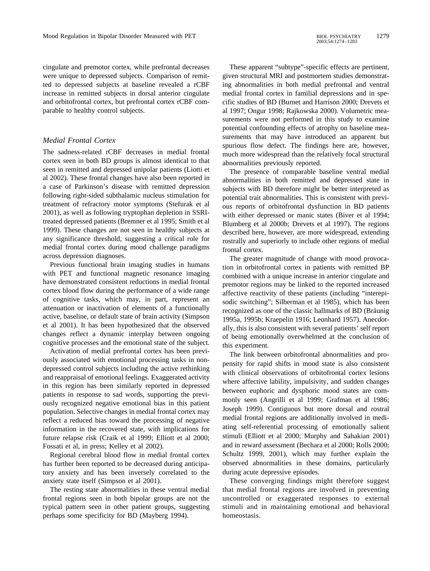cingulate and premotor cortex, while prefrontal decreases were unique to depressed subjects. Comparison of remitted to depressed subjects at baseline revealed a rCBF increase in remitted subjects in dorsal anterior cingulate and orbitofrontal cortex, but prefrontal cortex rCBF comparable to healthy control subjects.

# *Medial Frontal Cortex*

The sadness-related rCBF decreases in medial frontal cortex seen in both BD groups is almost identical to that seen in remitted and depressed unipolar patients [\(Liotti et](#page-9-0) [al 2002\).](#page-9-0) These frontal changes have also been reported in a case of Parkinson's disease with remitted depression following right-sided subthalamic nucleus stimulation for treatment of refractory motor symptoms [\(Stefurak et al](#page-9-0) [2001\),](#page-9-0) as well as following tryptophan depletion in SSRItreated depressed patients [\(Bremner et al 1995; Smith et al](#page-8-0) [1999\).](#page-8-0) These changes are not seen in healthy subjects at any significance threshold, suggesting a critical role for medial frontal cortex during mood challenge paradigms across depression diagnoses.

Previous functional brain imaging studies in humans with PET and functional magnetic resonance imaging have demonstrated consistent reductions in medial frontal cortex blood flow during the performance of a wide range of cognitive tasks, which may, in part, represent an attenuation or inactivation of elements of a functionally active, baseline, or default state of brain activity [\(Simpson](#page-9-0) [et al 2001\).](#page-9-0) It has been hypothesized that the observed changes reflect a dynamic interplay between ongoing cognitive processes and the emotional state of the subject.

Activation of medial prefrontal cortex has been previously associated with emotional processing tasks in nondepressed control subjects including the active rethinking and reappraisal of emotional feelings. Exaggerated activity in this region has been similarly reported in depressed patients in response to sad words, supporting the previously recognized negative emotional bias in this patient population. Selective changes in medial frontal cortex may reflect a reduced bias toward the processing of negative information in the recovered state, with implications for future relapse risk [\(Craik et al 1999; Elliott et al 2000;](#page-8-0) [Fossati et al, in press; Kelley et al 2002\).](#page-8-0)

Regional cerebral blood flow in medial frontal cortex has further been reported to be decreased during anticipatory anxiety and has been inversely correlated to the anxiety state itself [\(Simpson et al 2001\).](#page-9-0)

The resting state abnormalities in these ventral medial frontal regions seen in both bipolar groups are not the typical pattern seen in other patient groups, suggesting perhaps some specificity for BD [\(Mayberg 1994\).](#page-9-0)

These apparent "subtype"-specific effects are pertinent, given structural MRI and postmortem studies demonstrating abnormalities in both medial prefrontal and ventral medial frontal cortex in familial depressions and in specific studies of BD [\(Burnet and Harrison 2000; Drevets et](#page-8-0) [al 1997; Ongur 1998; Rajkowska 2000\).](#page-8-0) Volumetric measurements were not performed in this study to examine potential confounding effects of atrophy on baseline measurements that may have introduced an apparent but spurious flow defect. The findings here are, however, much more widespread than the relatively focal structural abnormalities previously reported.

The presence of comparable baseline ventral medial abnormalities in both remitted and depressed state in subjects with BD therefore might be better interpreted as potential trait abnormalities. This is consistent with previous reports of orbitofrontal dysfunction in BD patients with either depressed or manic states [\(Biver et al 1994;](#page-8-0) [Blumberg et al 2000b; Drevets et al 1997\).](#page-8-0) The regions described here, however, are more widespread, extending rostrally and superiorly to include other regions of medial frontal cortex.

The greater magnitude of change with mood provocation in orbitofrontal cortex in patients with remitted BP combined with a unique increase in anterior cingulate and premotor regions may be linked to the reported increased affective reactivity of these patients (including "interepisodic switching"; [Silberman et al 1985\),](#page-9-0) which has been recognized as one of the classic hallmarks of BD (Bräunig [1995a, 1995b;](#page-8-0) Kraepelin 1916; [Leonhard 1957\)](#page-9-0). Anecdotally, this is also consistent with several patients' self report of being emotionally overwhelmed at the conclusion of this experiment.

The link between orbitofrontal abnormalities and propensity for rapid shifts in mood state is also consistent with clinical observations of orbitofrontal cortex lesions where affective lability, impulsivity, and sudden changes between euphoric and dysphoric mood states are commonly seen [\(Angrilli et al 1999; Grafman et al 1986;](#page-7-0) [Joseph 1999\).](#page-7-0) Contiguous but more dorsal and rostral medial frontal regions are additionally involved in mediating self-referential processing of emotionally salient stimuli (Elliott et al 2000; [Murphy and Sahakian 2001\)](#page-9-0) and in reward assessment [\(Bechara et al 2000; Rolls 2000;](#page-8-0) [Schultz 1999, 2001\),](#page-8-0) which may further explain the observed abnormalities in these domains, particularly during acute depressive episodes.

These converging findings might therefore suggest that medial frontal regions are involved in preventing uncontrolled or exaggerated responses to external stimuli and in maintaining emotional and behavioral homeostasis.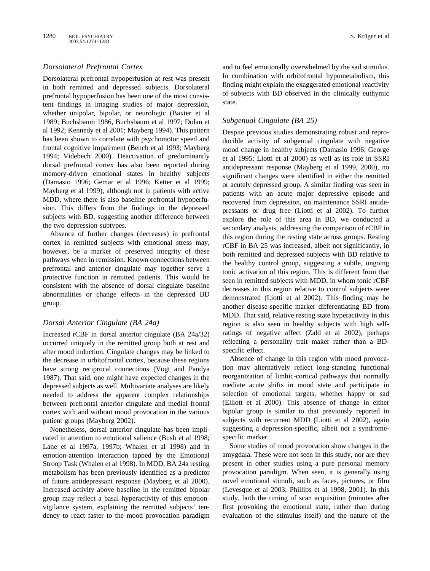# *Dorsolateral Prefrontal Cortex*

Dorsolateral prefrontal hypoperfusion at rest was present in both remitted and depressed subjects. Dorsolateral prefrontal hypoperfusion has been one of the most consistent findings in imaging studies of major depression, whether unipolar, bipolar, or neurologic [\(Baxter et al](#page-8-0) [1989; Buchsbaum 1986, Buchsbaum et al 1997; Dolan et](#page-8-0) [al 1992; Kennedy et al 2001; Mayberg 1994\).](#page-8-0) This pattern has been shown to correlate with psychomotor speed and frontal cognitive impairment [\(Bench et al 1993; Mayberg](#page-8-0) [1994; Videbech 2000\).](#page-8-0) Deactivation of predominantly dorsal prefrontal cortex has also been reported during memory-driven emotional states in healthy subjects [\(Damasio 1996; Gemar et al 1996; Ketter et al 1999;](#page-8-0) [Mayberg et al 1999\),](#page-8-0) although not in patients with active MDD, where there is also baseline prefrontal hypoperfusion. This differs from the findings in the depressed subjects with BD, suggesting another difference between the two depression subtypes.

Absence of further changes (decreases) in prefrontal cortex in remitted subjects with emotional stress may, however, be a marker of preserved integrity of these pathways when in remission. Known connections between prefrontal and anterior cingulate may together serve a protective function in remitted patients. This would be consistent with the absence of dorsal cingulate baseline abnormalities or change effects in the depressed BD group.

# *Dorsal Anterior Cingulate (BA 24a)*

Increased rCBF in dorsal anterior cingulate (BA 24a/32) occurred uniquely in the remitted group both at rest and after mood induction. Cingulate changes may be linked to the decrease in orbitofrontal cortex, because these regions have strong reciprocal connections [\(Vogt and Pandya](#page-9-0) [1987\).](#page-9-0) That said, one might have expected changes in the depressed subjects as well. Multivariate analyses are likely needed to address the apparent complex relationships between prefrontal anterior cingulate and medial frontal cortex with and without mood provocation in the various patient groups (Mayberg 2002).

Nonetheless, dorsal anterior cingulate has been implicated in attention to emotional salience [\(Bush et al 1998;](#page-8-0) [Lane et al 1997a, 1997b; Whalen et al 1998\)](#page-8-0) and in emotion-attention interaction tapped by the Emotional Stroop Task [\(Whalen et al 1998\).](#page-9-0) In MDD, BA 24a resting metabolism has been previously identified as a predictor of future antidepressant response [\(Mayberg et al 2000\).](#page-9-0) Increased activity above baseline in the remitted bipolar group may reflect a basal hyperactivity of this emotionvigilance system, explaining the remitted subjects' tendency to react faster to the mood provocation paradigm

and to feel emotionally overwhelmed by the sad stimulus. In combination with orbitofrontal hypometabolism, this finding might explain the exaggerated emotional reactivity of subjects with BD observed in the clinically euthymic state.

# *Subgenual Cingulate (BA 25)*

Despite previous studies demonstrating robust and reproducible activity of subgenual cingulate with negative mood change in healthy subjects [\(Damasio 1996; George](#page-8-0) [et al 1995; Liotti et al 2000\)](#page-8-0) as well as its role in SSRI antidepressant response [\(Mayberg et al 1999, 2000\),](#page-9-0) no significant changes were identified in either the remitted or acutely depressed group. A similar finding was seen in patients with an acute major depressive episode and recovered from depression, on maintenance SSRI antidepressants or drug free [\(Liotti et al 2002\).](#page-9-0) To further explore the role of this area in BD, we conducted a secondary analysis, addressing the comparison of rCBF in this region during the resting state across groups. Resting rCBF in BA 25 was increased, albeit not significantly, in both remitted and depressed subjects with BD relative to the healthy control group, suggesting a subtle, ongoing tonic activation of this region. This is different from that seen in remitted subjects with MDD, in whom tonic rCBF decreases in this region relative to control subjects were demonstrated [\(Liotti et al 2002\).](#page-9-0) This finding may be another disease-specific marker differentiating BD from MDD. That said, relative resting state hyperactivity in this region is also seen in healthy subjects with high selfratings of negative affect [\(Zald et al 2002\),](#page-9-0) perhaps reflecting a personality trait maker rather than a BDspecific effect.

Absence of change in this region with mood provocation may alternatively reflect long-standing functional reorganization of limbic-cortical pathways that normally mediate acute shifts in mood state and participate in selection of emotional targets, whether happy or sad [\(Elliott et al 2000\).](#page-8-0) This absence of change in either bipolar group is similar to that previously reported in subjects with recurrent MDD [\(Liotti et al 2002\),](#page-9-0) again suggesting a depression-specific, albeit not a syndromespecific marker.

Some studies of mood provocation show changes in the amygdala. These were not seen in this study, nor are they present in other studies using a pure personal memory provocation paradigm. When seen, it is generally using novel emotional stimuli, such as faces, pictures, or film [\(Levesque et al 2003; Phillips et al 1998, 2001\).](#page-9-0) In this study, both the timing of scan acquisition (minutes after first provoking the emotional state, rather than during evaluation of the stimulus itself) and the nature of the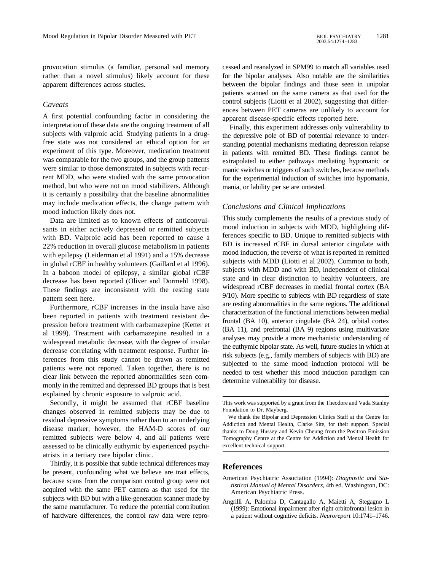<span id="page-7-0"></span>provocation stimulus (a familiar, personal sad memory rather than a novel stimulus) likely account for these apparent differences across studies.

## *Caveats*

A first potential confounding factor in considering the interpretation of these data are the ongoing treatment of all subjects with valproic acid. Studying patients in a drugfree state was not considered an ethical option for an experiment of this type. Moreover, medication treatment was comparable for the two groups, and the group patterns were similar to those demonstrated in subjects with recurrent MDD, who were studied with the same provocation method, but who were not on mood stabilizers. Although it is certainly a possibility that the baseline abnormalities may include medication effects, the change pattern with mood induction likely does not.

Data are limited as to known effects of anticonvulsants in either actively depressed or remitted subjects with BD. Valproic acid has been reported to cause a 22% reduction in overall glucose metabolism in patients with epilepsy [\(Leiderman et al 1991\)](#page-9-0) and a 15% decrease in global rCBF in healthy volunteers [\(Gaillard et al 1996\).](#page-8-0) In a baboon model of epilepsy, a similar global rCBF decrease has been reported [\(Oliver and Dormehl 1998\).](#page-9-0) These findings are inconsistent with the resting state pattern seen here.

Furthermore, rCBF increases in the insula have also been reported in patients with treatment resistant depression before treatment with carbamazepine [\(Ketter et](#page-8-0) [al 1999\).](#page-8-0) Treatment with carbamazepine resulted in a widespread metabolic decrease, with the degree of insular decrease correlating with treatment response. Further inferences from this study cannot be drawn as remitted patients were not reported. Taken together, there is no clear link between the reported abnormalities seen commonly in the remitted and depressed BD groups that is best explained by chronic exposure to valproic acid.

Secondly, it might be assumed that rCBF baseline changes observed in remitted subjects may be due to residual depressive symptoms rather than to an underlying disease marker; however, the HAM-D scores of our remitted subjects were below 4, and all patients were assessed to be clinically euthymic by experienced psychiatrists in a tertiary care bipolar clinic.

Thirdly, it is possible that subtle technical differences may be present, confounding what we believe are trait effects, because scans from the comparison control group were not acquired with the same PET camera as that used for the subjects with BD but with a like-generation scanner made by the same manufacturer. To reduce the potential contribution of hardware differences, the control raw data were reprocessed and reanalyzed in SPM99 to match all variables used for the bipolar analyses. Also notable are the similarities between the bipolar findings and those seen in unipolar patients scanned on the same camera as that used for the control subjects [\(Liotti et al 2002\),](#page-9-0) suggesting that differences between PET cameras are unlikely to account for apparent disease-specific effects reported here.

Finally, this experiment addresses only vulnerability to the depressive pole of BD of potential relevance to understanding potential mechanisms mediating depression relapse in patients with remitted BD. These findings cannot be extrapolated to either pathways mediating hypomanic or manic switches or triggers of such switches, because methods for the experimental induction of switches into hypomania, mania, or lability per se are untested.

# *Conclusions and Clinical Implications*

This study complements the results of a previous study of mood induction in subjects with MDD, highlighting differences specific to BD. Unique to remitted subjects with BD is increased rCBF in dorsal anterior cingulate with mood induction, the reverse of what is reported in remitted subjects with MDD [\(Liotti et al 2002\).](#page-9-0) Common to both, subjects with MDD and with BD, independent of clinical state and in clear distinction to healthy volunteers, are widespread rCBF decreases in medial frontal cortex (BA 9/10). More specific to subjects with BD regardless of state are resting abnormalities in the same regions. The additional characterization of the functional interactions between medial frontal (BA 10), anterior cingulate (BA 24), orbital cortex (BA 11), and prefrontal (BA 9) regions using multivariate analyses may provide a more mechanistic understanding of the euthymic bipolar state. As well, future studies in which at risk subjects (e.g., family members of subjects with BD) are subjected to the same mood induction protocol will be needed to test whether this mood induction paradigm can determine vulnerability for disease.

## **References**

- American Psychiatric Association (1994): *Diagnostic and Statistical Manual of Mental Disorders*, 4th ed. Washington, DC: American Psychiatric Press.
- Angrilli A, Palomba D, Cantagallo A, Maietti A, Stegagno L (1999): Emotional impairment after right orbitofrontal lesion in a patient without cognitive deficits. *Neuroreport* 10:1741–1746.

This work was supported by a grant from the Theodore and Vada Stanley Foundation to Dr. Mayberg.

We thank the Bipolar and Depression Clinics Staff at the Centre for Addiction and Mental Health, Clarke Site, for their support. Special thanks to Doug Hussey and Kevin Cheung from the Positron Emission Tomography Centre at the Centre for Addiction and Mental Health for excellent technical support.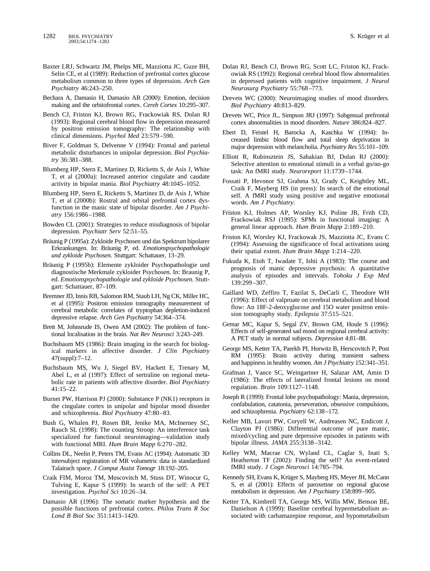- <span id="page-8-0"></span>Baxter LRJ, Schwartz JM, Phelps ME, Mazziotta JC, Guze BH, Selin CE, et al (1989): Reduction of prefrontal cortex glucose metabolism common to three types of depression. *Arch Gen Psychiatry* 46:243–250.
- Bechara A, Damasio H, Damasio AR (2000): Emotion, decision making and the orbitofrontal cortex. *Cereb Cortex* 10:295–307.
- Bench CJ, Friston KJ, Brown RG, Frackowiak RS, Dolan RJ (1993): Regional cerebral blood flow in depression measured by positron emission tomography: The relationship with clinical dimensions. *Psychol Med* 23:579–590.
- Biver F, Goldman S, Delvenne V (1994): Frontal and parietal metabolic disturbances in unipolar depression. *Biol Psychiatry* 36:381–388.
- Blumberg HP, Stern E, Martinez D, Ricketts S, de Asis J, White T, et al (2000a): Increased anterior cingulate and caudate activity in bipolar mania. *Biol Psychiatry* 48:1045–1052.
- Blumberg HP, Stern E, Ricketts S, Martinez D, de Asis J, White T, et al (2000b): Rostral and orbital prefrontal cortex dysfunction in the manic state of bipolar disorder. *Am J Psychiatry* 156:1986–1988.
- Bowden CL (2001): Strategies to reduce misdiagnosis of bipolar depression. *Psychiatr Serv* 52:51–55.
- Bräunig P (1995a): Zykloide Psychosen und das Spektrum bipolarer Erkrankungen. In: Bräunig P, ed. *Emotionspsychopathologie und zykloide Psychosen.* Stuttgart: Schattauer, 13–29.
- Bräunig P (1995b): Elemente zykloider Psychopathologie und diagnostische Merkmale zykloider Psychosen. In: Braunig P, ed. *Emotionspsychopathologie und zykloide Psychosen.* Stuttgart: Schattauer, 87–109.
- Bremner JD, Innis RB, Salomon RM, Staub LH, Ng CK, Miller HC, et al (1995): Positron emission tomography measurement of cerebral metabolic correlates of tryptophan depletion-induced depressive relapse. *Arch Gen Psychiatry* 54:364–374.
- Brett M, Johnsrude IS, Owen AM (2002): The problem of functional localisation in the brain. *Nat Rev Neurosci* 3:243–249.
- Buchsbaum MS (1986): Brain imaging in the search for biological markers in affective disorder. *J Clin Psychiatry* 47(suppl):7–12.
- Buchsbaum MS, Wu J, Siegel BV, Hackett E, Trenary M, Abel L, et al (1997): Effect of sertraline on regional metabolic rate in patients with affective disorder. *Biol Psychiatry* 41:15–22.
- Burnet PW, Harrison PJ (2000): Substance P (NK1) receptors in the cingulate cortex in unipolar and bipolar mood disorder and schizophrenia. *Biol Psychiatry* 47:80–83.
- Bush G, Whalen PJ, Rosen BR, Jenike MA, McInerney SC, Rauch SL (1998): The counting Stroop: An interference task specialized for functional neuroimaging—validation study with functional MRI. *Hum Brain Mapp* 6:270–282.
- Collins DL, Neelin P, Peters TM, Evans AC (1994): Automatic 3D intersubject registration of MR volumetric data in standardized Talairach space. *J Comput Assist Tomogr* 18:192–205.
- Craik FIM, Moroz TM, Moscovitch M, Stuss DT, Winocur G, Tulving E, Kapur S (1999): In search of the self: A PET investigation. *Psychol Sci* 10:26–34.
- Damasio AR (1996): The somatic marker hypothesis and the possible functions of prefrontal cortex. *Philos Trans R Soc Lond B Biol Soc* 351:1413–1420.
- Dolan RJ, Bench CJ, Brown RG, Scott LC, Friston KJ, Frackowiak RS (1992): Regional cerebral blood flow abnormalities in depressed patients with cognitive impairment. *J Neurol Neurosurg Psychiatry* 55:768–773.
- Drevets WC (2000): Neuroimaging studies of mood disorders. *Biol Psychiatry* 48:813–829.
- Drevets WC, Price JL, Simpson JRJ (1997): Subgenual prefrontal cortex abnormalities in mood disorders. *Nature* 386:824–827.
- Ebert D, Feistel H, Barocka A, Kaschka W (1994): Increased limbic blood flow and total sleep deprivation in major depression with melancholia. *Psychiatry Res* 55:101–109.
- Elliott R, Rubinsztein JS, Sahakian BJ, Dolan RJ (2000): Selective attention to emotional stimuli in a verbal go/no-go task: An fMRI study. *Neuroreport* 11:1739–1744.
- Fossati P, Hevonor SJ, Grahma SJ, Grady C, Keightley ML, Craik F, Mayberg HS (in press): In search of the emotional self. A fMRI study using positive and negative emotional words. *Am J Psychiatry*.
- Friston KJ, Holmes AP, Worsley KJ, Poline JB, Frith CD, Frackowiak RSJ (1995): SPMs in functional imaging: A general linear approach. *Hum Brain Mapp* 2:189–210.
- Friston KJ, Worsley KJ, Frackowak JS, Mazziotta JC, Evans C (1994): Assessing the significance of focal activations using their spatial extent. *Hum Brain Mapp* 1:214–220.
- Fukuda K, Etoh T, Iwadate T, Ishii A (1983): The course and prognosis of manic depressive psychosis: A quantitative analysis of episodes and intervals. *Tohoku J Exp Med* 139:299–307.
- Gaillard WD, Zeffiro T, Fazilat S, DeCarli C, Theodore WH (1996): Effect of valproate on cerebral metabolism and blood flow: An 18F-2-deoxyglucose and 15O water positron emission tomography study. *Epilepsia* 37:515–521.
- Gemar MC, Kapur S, Segal ZV, Brown GM, Houle S (1996): Effects of self-generated sad mood on regional cerebral activity: A PET study in normal subjects. *Depression* 4:81–88.
- George MS, Ketter TA, Parekh PI, Horwitz B, Herscovitch P, Post RM (1995): Brain activity during transient sadness and happiness in healthy women. *Am J Psychiatry* 152:341–351.
- Grafman J, Vance SC, Weingartner H, Salazar AM, Amin D (1986): The effects of lateralized frontal lesions on mood regulation. *Brain* 109:1127–1148.
- Joseph R (1999): Frontal lobe psychopathology: Mania, depression, confabulation, catatonia, perseveration, obsessive compulsions, and schizophrenia. *Psychiatry* 62:138–172.
- Keller MB, Lavori PW, Coryell W, Andreasen NC, Endicott J, Clayton PJ (1986): Differential outcome of pure manic, mixed/cycling and pure depressive episodes in patients with bipolar illness. *JAMA* 255:3138–3142.
- Kelley WM, Macrae CN, Wyland CL, Caglar S, Inati S, Heatherton TF (2002): Finding the self? An event-related fMRI study. *J Cogn Neurosci* 14:785–794.
- Kennedy SH, Evans K, Krüger S, Mayberg HS, Meyer JH, McCann S, et al (2001): Effects of paroxetine on regional glucose metabolism in depression. *Am J Psychiatry* 158:899–905.
- Ketter TA, Kimbrell TA, George MS, Willis MW, Benson BE, Danielson A (1999): Baseline cerebral hypermetabolism associated with carbamazepine response, and hypometabolism